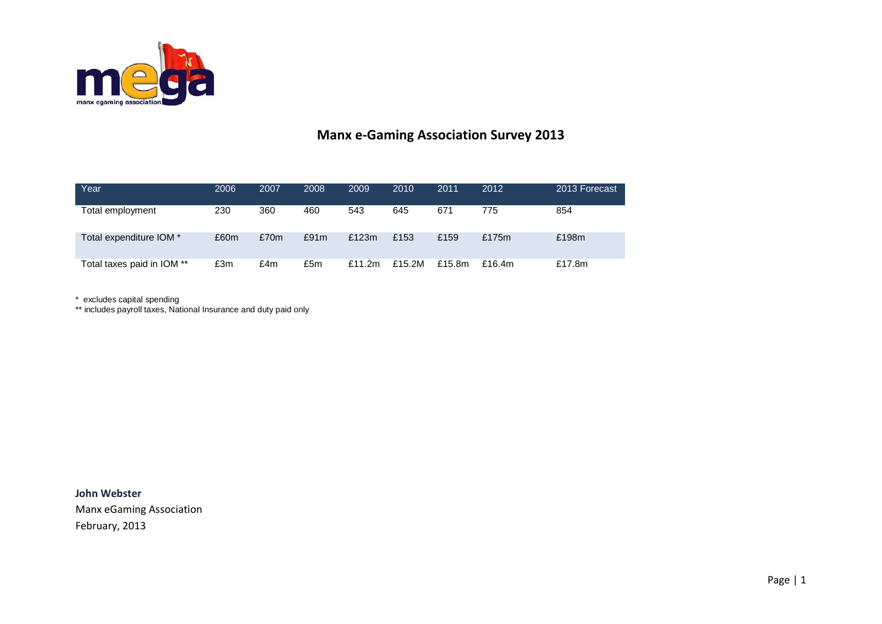

## **Manx e-Gaming Association Survey 2013**

| Year                       | 2006 | 2007 | 2008 | 2009      | 2010   | 2011   | 2012      | 2013 Forecast |
|----------------------------|------|------|------|-----------|--------|--------|-----------|---------------|
| Total employment           | 230  | 360  | 460  | 543       | 645    | 671    | 775       | 854           |
| Total expenditure IOM *    | £60m | £70m | £91m | £123m     | £153   | £159   | £175m     | £198m         |
| Total taxes paid in IOM ** | £3m  | £4m  | £5m  | £11.2 $m$ | £15.2M | £15.8m | £16.4 $m$ | £17.8m        |

\* excludes capital spending

\*\* includes payroll taxes, National Insurance and duty paid only

**John Webster** Manx eGaming Association February, 2013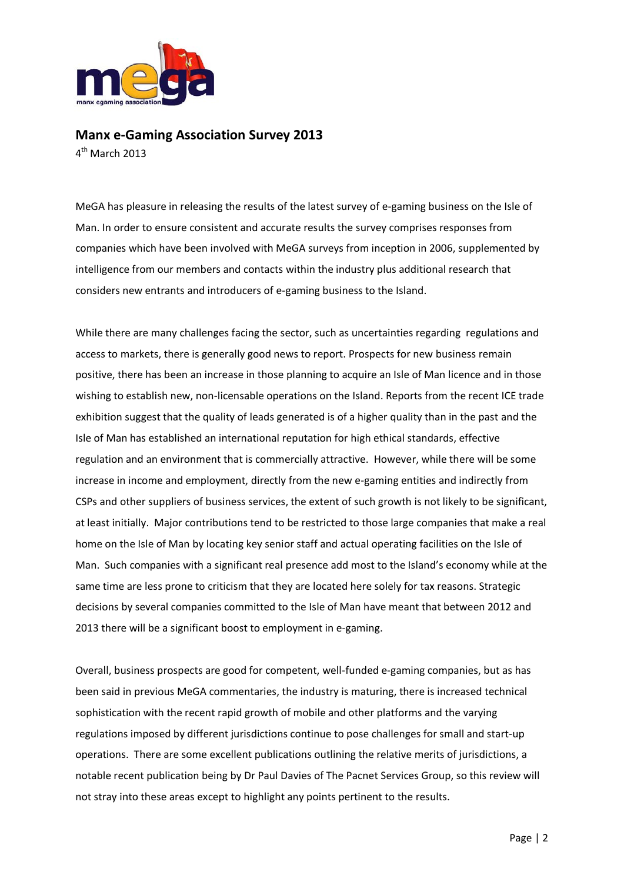

## **Manx e-Gaming Association Survey 2013**

4th March 2013

MeGA has pleasure in releasing the results of the latest survey of e-gaming business on the Isle of Man. In order to ensure consistent and accurate results the survey comprises responses from companies which have been involved with MeGA surveys from inception in 2006, supplemented by intelligence from our members and contacts within the industry plus additional research that considers new entrants and introducers of e-gaming business to the Island.

While there are many challenges facing the sector, such as uncertainties regarding regulations and access to markets, there is generally good news to report. Prospects for new business remain positive, there has been an increase in those planning to acquire an Isle of Man licence and in those wishing to establish new, non-licensable operations on the Island. Reports from the recent ICE trade exhibition suggest that the quality of leads generated is of a higher quality than in the past and the Isle of Man has established an international reputation for high ethical standards, effective regulation and an environment that is commercially attractive. However, while there will be some increase in income and employment, directly from the new e-gaming entities and indirectly from CSPs and other suppliers of business services, the extent of such growth is not likely to be significant, at least initially. Major contributions tend to be restricted to those large companies that make a real home on the Isle of Man by locating key senior staff and actual operating facilities on the Isle of Man. Such companies with a significant real presence add most to the Island's economy while at the same time are less prone to criticism that they are located here solely for tax reasons. Strategic decisions by several companies committed to the Isle of Man have meant that between 2012 and 2013 there will be a significant boost to employment in e-gaming.

Overall, business prospects are good for competent, well-funded e-gaming companies, but as has been said in previous MeGA commentaries, the industry is maturing, there is increased technical sophistication with the recent rapid growth of mobile and other platforms and the varying regulations imposed by different jurisdictions continue to pose challenges for small and start-up operations. There are some excellent publications outlining the relative merits of jurisdictions, a notable recent publication being by Dr Paul Davies of The Pacnet Services Group, so this review will not stray into these areas except to highlight any points pertinent to the results.